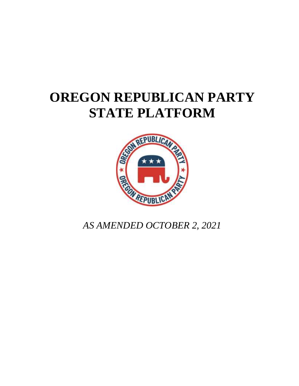# **OREGON REPUBLICAN PARTY STATE PLATFORM**



*AS AMENDED OCTOBER 2, 2021*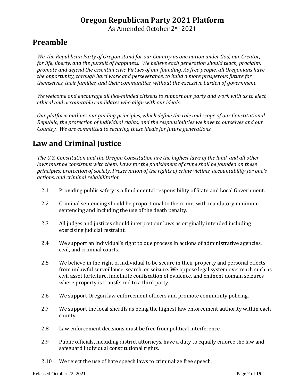As Amended October 2nd 2021

# **Preamble**

*We, the Republican Party of Oregon stand for our Country as one nation under God, our Creator, for life, liberty, and the pursuit of happiness. We believe each generation should teach, proclaim, promote and defend the essential civic Virtues of our founding. As free people, all Oregonians have the opportunity, through hard work and perseverance, to build a more prosperous future for themselves, their families, and their communities, without the excessive burden of government.*

*We welcome and encourage all like-minded citizens to support our party and work with us to elect ethical and accountable candidates who align with our ideals.*

*Our platform outlines our guiding principles, which define the role and scope of our Constitutional Republic, the protection of individual rights, and the responsibilities we have to ourselves and our Country. We are committed to securing these ideals for future generations.* 

# **Law and Criminal Justice**

*The U.S. Constitution and the Oregon Constitution are the highest laws of the land, and all other laws must be consistent with them. Laws for the punishment of crime shall be founded on these principles: protection of society, Preservation of the rights of crime victims, accountability for one's actions, and criminal rehabilitation*

- 2.1 Providing public safety is a fundamental responsibility of State and Local Government.
- 2.2 Criminal sentencing should be proportional to the crime, with mandatory minimum sentencing and including the use of the death penalty.
- 2.3 All judges and justices should interpret our laws as originally intended including exercising judicial restraint.
- 2.4 We support an individual's right to due process in actions of administrative agencies, civil, and criminal courts.
- 2.5 We believe in the right of individual to be secure in their property and personal effects from unlawful surveillance, search, or seizure. We oppose legal system overreach such as civil asset forfeiture, indefinite confiscation of evidence, and eminent domain seizures where property is transferred to a third party.
- 2.6 We support Oregon law enforcement officers and promote community policing.
- 2.7 We support the local sheriffs as being the highest law enforcement authority within each county.
- 2.8 Law enforcement decisions must be free from political interference.
- 2.9 Public officials, including district attorneys, have a duty to equally enforce the law and safeguard individual constitutional rights.
- 2.10 We reject the use of hate speech laws to criminalize free speech.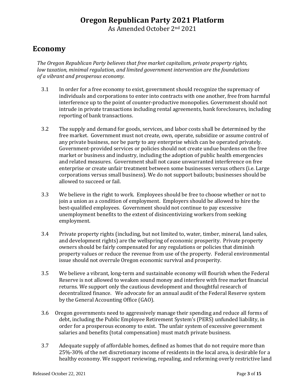As Amended October 2nd 2021

#### **Economy**

*The Oregon Republican Party believes that free market capitalism, private property rights, low taxation, minimal regulation, and limited government intervention are the foundations of a vibrant and prosperous economy.*

- 3.1 In order for a free economy to exist, government should recognize the supremacy of individuals and corporations to enter into contracts with one another, free from harmful interference up to the point of counter-productive monopolies. Government should not intrude in private transactions including rental agreements, bank foreclosures, including reporting of bank transactions.
- 3.2 The supply and demand for goods, services, and labor costs shall be determined by the free market. Government must not create, own, operate, subsidize or assume control of any private business, nor be party to any enterprise which can be operated privately. Government-provided services or policies should not create undue burdens on the free market or business and industry, including the adoption of public health emergencies and related measures. Government shall not cause unwarranted interference on free enterprise or create unfair treatment between some businesses versus others (i.e. Large corporations versus small business). We do not support bailouts; businesses should be allowed to succeed or fail.
- 3.3 We believe in the right to work. Employees should be free to choose whether or not to join a union as a condition of employment. Employers should be allowed to hire the best-qualified employees. Government should not continue to pay excessive unemployment benefits to the extent of disincentivizing workers from seeking employment.
- 3.4 Private property rights (including, but not limited to, water, timber, mineral, land sales, and development rights) are the wellspring of economic prosperity. Private property owners should be fairly compensated for any regulations or policies that diminish property values or reduce the revenue from use of the property. Federal environmental issue should not overrule Oregon economic survival and prosperity.
- 3.5 We believe a vibrant, long-term and sustainable economy will flourish when the Federal Reserve is not allowed to weaken sound money and interfere with free market financial returns. We support only the cautious development and thoughtful research of decentralized finance. We advocate for an annual audit of the Federal Reserve system by the General Accounting Office (GAO).
- 3.6 Oregon governments need to aggressively manage their spending and reduce all forms of debt, including the Public Employee Retirement System's (PERS) unfunded liability, in order for a prosperous economy to exist. The unfair system of excessive government salaries and benefits (total compensation) must match private business.
- 3.7 Adequate supply of affordable homes, defined as homes that do not require more than 25%-30% of the net discretionary income of residents in the local area, is desirable for a healthy economy. We support reviewing, repealing, and reforming overly restrictive land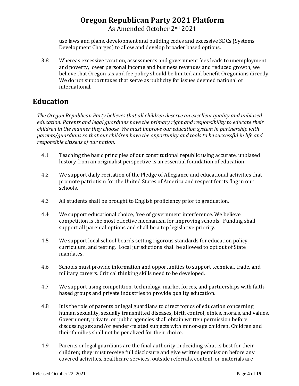As Amended October 2nd 2021

use laws and plans, development and building codes and excessive SDCs (Systems Development Charges) to allow and develop broader based options.

3.8 Whereas excessive taxation, assessments and government fees leads to unemployment and poverty, lower personal income and business revenues and reduced growth, we believe that Oregon tax and fee policy should be limited and benefit Oregonians directly. We do not support taxes that serve as publicity for issues deemed national or international.

# **Education**

*The Oregon Republican Party believes that all children deserve an excellent quality and unbiased education. Parents and legal guardians have the primary right and responsibility to educate their children in the manner they choose. We must improve our education system in partnership with parents/guardians so that our children have the opportunity and tools to be successful in life and responsible citizens of our nation.*

- 4.1 Teaching the basic principles of our constitutional republic using accurate, unbiased history from an originalist perspective is an essential foundation of education.
- 4.2 We support daily recitation of the Pledge of Allegiance and educational activities that promote patriotism for the United States of America and respect for its flag in our schools.
- 4.3 All students shall be brought to English proficiency prior to graduation.
- 4.4 We support educational choice, free of government interference. We believe competition is the most effective mechanism for improving schools. Funding shall support all parental options and shall be a top legislative priority.
- 4.5 We support local school boards setting rigorous standards for education policy, curriculum, and testing. Local jurisdictions shall be allowed to opt out of State mandates.
- 4.6 Schools must provide information and opportunities to support technical, trade, and military careers. Critical thinking skills need to be developed.
- 4.7 We support using competition, technology, market forces, and partnerships with faithbased groups and private industries to provide quality education.
- 4.8 It is the role of parents or legal guardians to direct topics of education concerning human sexuality, sexually transmitted diseases, birth control, ethics, morals, and values. Government, private, or public agencies shall obtain written permission before discussing sex and/or gender-related subjects with minor-age children. Children and their families shall not be penalized for their choice.
- 4.9 Parents or legal guardians are the final authority in deciding what is best for their children; they must receive full disclosure and give written permission before any covered activities, healthcare services, outside referrals, content, or materials are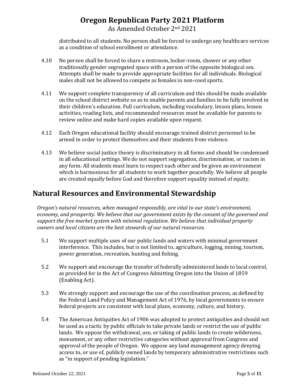distributed to all students. No person shall be forced to undergo any healthcare services as a condition of school enrollment or attendance.

- 4.10 No person shall be forced to share a restroom, locker-room, shower or any other traditionally gender segregated space with a person of the opposite biological sex. Attempts shall be made to provide appropriate facilities for all individuals. Biological males shall not be allowed to compete as females in non-coed sports.
- 4.11 We support complete transparency of all curriculum and this should be made available on the school district website so as to enable parents and families to be fully involved in their children's education. Full curriculum, including vocabulary, lesson plans, lesson activities, reading lists, and recommended resources must be available for parents to review online and make hard copies available upon request.
- 4.12 Each Oregon educational facility should encourage trained district personnel to be armed in order to protect themselves and their students from violence.
- 4.13 We believe social justice theory is discriminatory in all forms and should be condemned in all educational settings. We do not support segregation, discrimination, or racism in any form. All students must learn to respect each other and be given an environment which is harmonious for all students to work together peacefully. We believe all people are created equally before God and therefore support equality instead of equity.

# **Natural Resources and Environmental Stewardship**

*Oregon's natural resources, when managed responsibly, are vital to our state's environment, economy, and prosperity. We believe that our government exists by the consent of the governed and support the free market system with minimal regulation. We believe that individual property owners and local citizens are the best stewards of our natural resources.* 

- 5.1 We support multiple uses of our public lands and waters with minimal government interference. This includes, but is not limited to, agriculture, logging, mining, tourism, power generation, recreation, hunting and fishing.
- 5.2 We support and encourage the transfer of federally administered lands to local control, as provided for in the Act of Congress Admitting Oregon into the Union of 1859 (Enabling Act).
- 5.3 We strongly support and encourage the use of the coordination process, as defined by the Federal Land Policy and Management Act of 1976, by local governments to ensure federal projects are consistent with local plans, economy, culture, and history.
- 5.4 The American Antiquities Act of 1906 was adopted to protect antiquities and should not be used as a tactic by public officials to take private lands or restrict the use of public lands. We oppose the withdrawal, use, or taking of public lands to create wilderness, monument, or any other restrictive categories without approval from Congress and approval of the people of Oregon. We oppose any land management agency denying access to, or use of, publicly owned lands by temporary administrative restrictions such as "in support of pending legislation."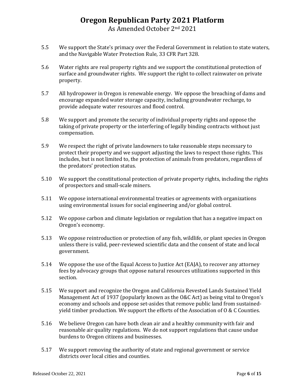As Amended October 2nd 2021

- 5.5 We support the State's primacy over the Federal Government in relation to state waters, and the Navigable Water Protection Rule, 33 CFR Part 328.
- 5.6 Water rights are real property rights and we support the constitutional protection of surface and groundwater rights. We support the right to collect rainwater on private property.
- 5.7 All hydropower in Oregon is renewable energy. We oppose the breaching of dams and encourage expanded water storage capacity, including groundwater recharge, to provide adequate water resources and flood control.
- 5.8 We support and promote the security of individual property rights and oppose the taking of private property or the interfering of legally binding contracts without just compensation.
- 5.9 We respect the right of private landowners to take reasonable steps necessary to protect their property and we support adjusting the laws to respect those rights. This includes, but is not limited to, the protection of animals from predators, regardless of the predators' protection status.
- 5.10 We support the constitutional protection of private property rights, including the rights of prospectors and small-scale miners.
- 5.11 We oppose international environmental treaties or agreements with organizations using environmental issues for social engineering and/or global control.
- 5.12 We oppose carbon and climate legislation or regulation that has a negative impact on Oregon's economy.
- 5.13 We oppose reintroduction or protection of any fish, wildlife, or plant species in Oregon unless there is valid, peer-reviewed scientific data and the consent of state and local government.
- 5.14 We oppose the use of the Equal Access to Justice Act (EAJA), to recover any attorney fees by advocacy groups that oppose natural resources utilizations supported in this section.
- 5.15 We support and recognize the Oregon and California Revested Lands Sustained Yield Management Act of 1937 (popularly known as the O&C Act) as being vital to Oregon's economy and schools and oppose set-asides that remove public land from sustainedyield timber production. We support the efforts of the Association of O & C Counties.
- 5.16 We believe Oregon can have both clean air and a healthy community with fair and reasonable air quality regulations. We do not support regulations that cause undue burdens to Oregon citizens and businesses.
- 5.17 We support removing the authority of state and regional government or service districts over local cities and counties.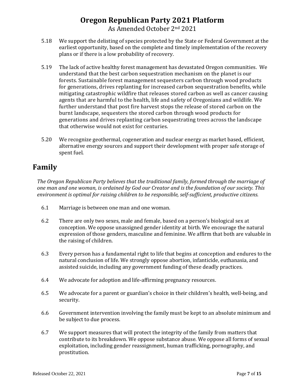- 5.18 We support the delisting of species protected by the State or Federal Government at the earliest opportunity, based on the complete and timely implementation of the recovery plans or if there is a low probability of recovery.
- 5.19 The lack of active healthy forest management has devastated Oregon communities. We understand that the best carbon sequestration mechanism on the planet is our forests. Sustainable forest management sequesters carbon through wood products for generations, drives replanting for increased carbon sequestration benefits, while mitigating catastrophic wildfire that releases stored carbon as well as cancer causing agents that are harmful to the health, life and safety of Oregonians and wildlife. We further understand that post fire harvest stops the release of stored carbon on the burnt landscape, sequesters the stored carbon through wood products for generations and drives replanting carbon sequestrating trees across the landscape that otherwise would not exist for centuries.
- 5.20 We recognize geothermal, cogeneration and nuclear energy as market based, efficient, alternative energy sources and support their development with proper safe storage of spent fuel.

# **Family**

*The Oregon Republican Party believes that the traditional family, formed through the marriage of one man and one woman, is ordained by God our Creator and is the foundation of our society. This environment is optimal for raising children to be responsible, self‐sufficient, productive citizens.*

- 6.1 Marriage is between one man and one woman.
- 6.2 There are only two sexes, male and female, based on a person's biological sex at conception. We oppose unassigned gender identity at birth. We encourage the natural expression of those genders, masculine and feminine. We affirm that both are valuable in the raising of children.
- 6.3 Every person has a fundamental right to life that begins at conception and endures to the natural conclusion of life. We strongly oppose abortion, infanticide, euthanasia, and assisted suicide, including any government funding of these deadly practices.
- 6.4 We advocate for adoption and life-affirming pregnancy resources.
- 6.5 We advocate for a parent or guardian's choice in their children's health, well-being, and security.
- 6.6 Government intervention involving the family must be kept to an absolute minimum and be subject to due process.
- 6.7 We support measures that will protect the integrity of the family from matters that contribute to its breakdown. We oppose substance abuse. We oppose all forms of sexual exploitation, including gender reassignment, human trafficking, pornography, and prostitution.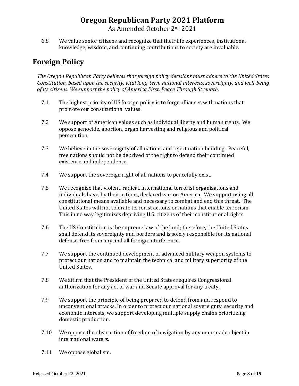As Amended October 2nd 2021

6.8 We value senior citizens and recognize that their life experiences, institutional knowledge, wisdom, and continuing contributions to society are invaluable.

# **Foreign Policy**

*The Oregon Republican Party believes that foreign policy decisions must adhere to the United States Constitution, based upon the security, vital long-term national interests, sovereignty, and well-being of its citizens. We support the policy of America First, Peace Through Strength.*

- 7.1 The highest priority of US foreign policy is to forge alliances with nations that promote our constitutional values.
- 7.2 We support of American values such as individual liberty and human rights. We oppose genocide, abortion, organ harvesting and religious and political persecution.
- 7.3 We believe in the sovereignty of all nations and reject nation building. Peaceful, free nations should not be deprived of the right to defend their continued existence and independence.
- 7.4 We support the sovereign right of all nations to peacefully exist.
- 7.5 We recognize that violent, radical, international terrorist organizations and individuals have, by their actions, declared war on America. We support using all constitutional means available and necessary to combat and end this threat. The United States will not tolerate terrorist actions or nations that enable terrorism. This in no way legitimizes depriving U.S. citizens of their constitutional rights.
- 7.6 The US Constitution is the supreme law of the land; therefore, the United States shall defend its sovereignty and borders and is solely responsible for its national defense, free from any and all foreign interference.
- 7.7 We support the continued development of advanced military weapon systems to protect our nation and to maintain the technical and military superiority of the United States.
- 7.8 We affirm that the President of the United States requires Congressional authorization for any act of war and Senate approval for any treaty.
- 7.9 We support the principle of being prepared to defend from and respond to unconventional attacks. In order to protect our national sovereignty, security and economic interests, we support developing multiple supply chains prioritizing domestic production.
- 7.10 We oppose the obstruction of freedom of navigation by any man-made object in international waters.
- 7.11 We oppose globalism.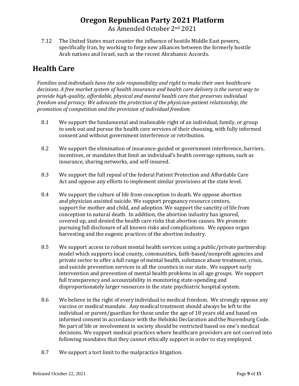As Amended October 2nd 2021

7.12 The United States must counter the influence of hostile Middle East powers, specifically Iran, by working to forge new alliances between the formerly hostile Arab nations and Israel, such as the recent Abrahamic Accords.

# **Health Care**

*Families and individuals have the sole responsibility and right to make their own healthcare decisions. A free market system of health insurance and health care delivery is the surest way to provide high-quality, affordable, physical and mental health care that preserves individual freedom and privacy. We advocate the protection of the physician-patient relationship, the promotion of competition and the provision of individual freedom.*

- 8.1 We support the fundamental and inalienable right of an individual, family, or group to seek out and pursue the health care services of their choosing, with fully informed consent and without government interference or retribution.
- 8.2 We support the elimination of insurance-guided or government interference, barriers, incentives, or mandates that limit an individual's health coverage options, such as insurance, sharing networks, and self-insured.
- 8.3 We support the full repeal of the federal Patient Protection and Affordable Care Act and oppose any efforts to implement similar provisions at the state level.
- 8.4 We support the culture of life from conception to death. We oppose abortion and physician assisted suicide. We support pregnancy resource centers, support for mother and child, and adoption. We support the sanctity of life from conception to natural death. In addition, the abortion industry has ignored, covered up, and denied the health care risks that abortion causes. We promote pursuing full disclosure of all known risks and complications. We oppose organ harvesting and the eugenic practices of the abortion industry.
- 8.5 We support access to robust mental health services using a public/private partnership model which supports local county, communities, faith-based/nonprofit agencies and private sector to offer a full range of mental health, substance abuse treatment, crisis, and suicide prevention services in all the counties in our state. We support early intervention and prevention of mental health problems in all age groups. We support full transparency and accountability in monitoring state-spending and disproportionately larger resources in the state psychiatric hospital system.
- 8.6 We believe in the right of every individual to medical freedom. We strongly oppose any vaccine or medical mandate. Any medical treatment should always be left to the individual or parent/guardian for those under the age of 18 years old and based on informed consent in accordance with the Helsinki Declaration and the Nuremburg Code. No part of life or involvement in society should be restricted based on one's medical decisions. We support medical practices where healthcare providers are not coerced into following mandates that they cannot ethically support in order to stay employed.
- 8.7 We support a tort limit to the malpractice litigation.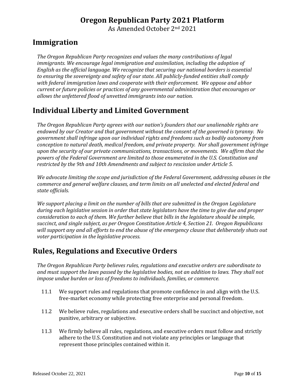As Amended October 2nd 2021

# **Immigration**

*The Oregon Republican Party recognizes and values the many contributions of legal immigrants. We encourage legal immigration and assimilation, including the adoption of English as the official language. We recognize that securing our national borders is essential to ensuring the sovereignty and safety of our state. All publicly-funded entities shall comply with federal immigration laws and cooperate with their enforcement. We oppose and abhor current or future policies or practices of any governmental administration that encourages or allows the unfettered flood of unvetted immigrants into our nation.*

# **Individual Liberty and Limited Government**

*The Oregon Republican Party agrees with our nation's founders that our unalienable rights are endowed by our Creator and that government without the consent of the governed is tyranny. No government shall infringe upon our individual rights and freedoms such as bodily autonomy from conception to natural death, medical freedom, and private property. Nor shall government infringe upon the security of our private communications, transactions, or movements. We affirm that the powers of the Federal Government are limited to those enumerated in the U.S. Constitution and restricted by the 9th and 10th Amendments and subject to rescission under Article 5.*

*We advocate limiting the scope and jurisdiction of the Federal Government, addressing abuses in the commerce and general welfare clauses, and term limits on all unelected and elected federal and state officials.*

*We support placing a limit on the number of bills that are submitted in the Oregon Legislature during each legislative session in order that state legislators have the time to give due and proper consideration to each of them. We further believe that bills in the legislature should be simple, succinct, and single subject, as per Oregon Constitution Article 4, Section 21. Oregon Republicans will support any and all efforts to end the abuse of the emergency clause that deliberately shuts out voter participation in the legislative process.*

# **Rules, Regulations and Executive Orders**

*The Oregon Republican Party believes rules, regulations and executive orders are subordinate to and must support the laws passed by the legislative bodies, not an addition to laws. They shall not impose undue burden or loss of freedoms to individuals, families, or commerce.*

- 11.1 We support rules and regulations that promote confidence in and align with the U.S. free-market economy while protecting free enterprise and personal freedom.
- 11.2 We believe rules, regulations and executive orders shall be succinct and objective, not punitive, arbitrary or subjective.
- 11.3 We firmly believe all rules, regulations, and executive orders must follow and strictly adhere to the U.S. Constitution and not violate any principles or language that represent those principles contained within it.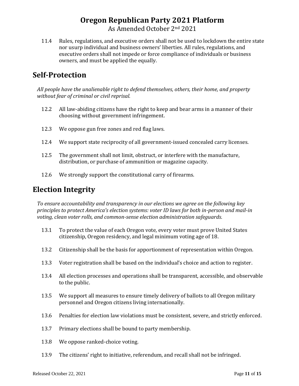11.4 Rules, regulations, and executive orders shall not be used to lockdown the entire state nor usurp individual and business owners' liberties. All rules, regulations, and executive orders shall not impede or force compliance of individuals or business owners, and must be applied the equally.

# **Self-Protection**

*All people have the unalienable right to defend themselves, others, their home, and property without fear of criminal or civil reprisal.*

- 12.2 All law-abiding citizens have the right to keep and bear arms in a manner of their choosing without government infringement.
- 12.3 We oppose gun free zones and red flag laws.
- 12.4 We support state reciprocity of all government-issued concealed carry licenses.
- 12.5 The government shall not limit, obstruct, or interfere with the manufacture, distribution, or purchase of ammunition or magazine capacity.
- 12.6 We strongly support the constitutional carry of firearms.

# **Election Integrity**

*To ensure accountability and transparency in our elections we agree on the following key principles to protect America's election systems: voter ID laws for both in-person and mail-in voting, clean voter rolls, and common-sense election administration safeguards.*

- 13.1 To protect the value of each Oregon vote, every voter must prove United States citizenship, Oregon residency, and legal minimum voting age of 18.
- 13.2 Citizenship shall be the basis for apportionment of representation within Oregon.
- 13.3 Voter registration shall be based on the individual's choice and action to register.
- 13.4 All election processes and operations shall be transparent, accessible, and observable to the public.
- 13.5 We support all measures to ensure timely delivery of ballots to all Oregon military personnel and Oregon citizens living internationally.
- 13.6 Penalties for election law violations must be consistent, severe, and strictly enforced.
- 13.7 Primary elections shall be bound to party membership.
- 13.8 We oppose ranked-choice voting.
- 13.9 The citizens' right to initiative, referendum, and recall shall not be infringed.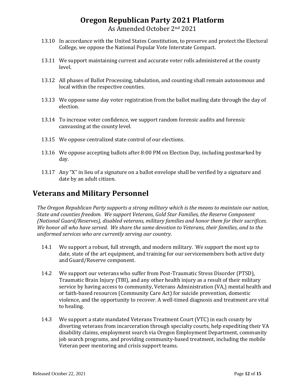- 13.10 In accordance with the United States Constitution, to preserve and protect the Electoral College, we oppose the National Popular Vote Interstate Compact.
- 13.11 We support maintaining current and accurate voter rolls administered at the county level.
- 13.12 All phases of Ballot Processing, tabulation, and counting shall remain autonomous and local within the respective counties.
- 13.13 We oppose same day voter registration from the ballot mailing date through the day of election.
- 13.14 To increase voter confidence, we support random forensic audits and forensic canvassing at the county level.
- 13.15 We oppose centralized state control of our elections.
- 13.16 We oppose accepting ballots after 8:00 PM on Election Day, including postmarked by day.
- 13.17 Any "X" in lieu of a signature on a ballot envelope shall be verified by a signature and date by an adult citizen.

# **Veterans and Military Personnel**

*The Oregon Republican Party supports a strong military which is the means to maintain our nation, State and counties freedom. We support Veterans, Gold Star Families, the Reserve Component (National Guard/Reserves), disabled veterans, military families and honor them for their sacrifices. We honor all who have served. We share the same devotion to Veterans, their families, and to the uniformed services who are currently serving our country.*

- 14.1 We support a robust, full strength, and modern military. We support the most up to date, state of the art equipment, and training for our servicemembers both active duty and Guard/Reserve component.
- 14.2 We support our veterans who suffer from Post-Traumatic Stress Disorder (PTSD), Traumatic Brain Injury (TBI), and any other health injury as a result of their military service by having access to community, Veterans Administration (VA,) mental health and or faith-based resources (Community Care Act) for suicide prevention, domestic violence, and the opportunity to recover. A well-timed diagnosis and treatment are vital to healing.
- 14.3 We support a state mandated Veterans Treatment Court (VTC) in each county by diverting veterans from incarceration through specialty courts, help expediting their VA disability claims, employment search via Oregon Employment Department, community job search programs, and providing community-based treatment, including the mobile Veteran peer mentoring and crisis support teams.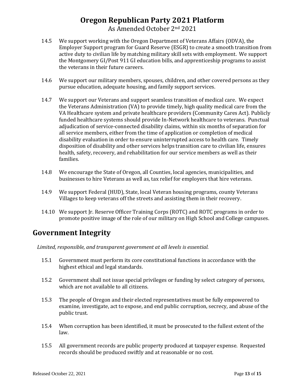- 14.5 We support working with the Oregon Department of Veterans Affairs (ODVA), the Employer Support program for Guard Reserve (ESGR) to create a smooth transition from active duty to civilian life by matching military skill sets with employment. We support the Montgomery GI/Post 911 GI education bills, and apprenticeship programs to assist the veterans in their future careers.
- 14.6 We support our military members, spouses, children, and other covered persons as they pursue education, adequate housing, and family support services.
- 14.7 We support our Veterans and support seamless transition of medical care. We expect the Veterans Administration (VA) to provide timely, high quality medical care from the VA Healthcare system and private healthcare providers (Community Cares Act). Publicly funded healthcare systems should provide In-Network healthcare to veterans. Punctual adjudication of service-connected disability claims, within six months of separation for all service members, either from the time of application or completion of medical disability evaluation in order to ensure uninterrupted access to health care. Timely disposition of disability and other services helps transition care to civilian life, ensures health, safety, recovery, and rehabilitation for our service members as well as their families.
- 14.8 We encourage the State of Oregon, all Counties, local agencies, municipalities, and businesses to hire Veterans as well as, tax relief for employers that hire veterans.
- 14.9 We support Federal (HUD), State, local Veteran housing programs, county Veterans Villages to keep veterans off the streets and assisting them in their recovery.
- 14.10 We support Jr. Reserve Officer Training Corps (ROTC) and ROTC programs in order to promote positive image of the role of our military on High School and College campuses.

#### **Government Integrity**

*Limited, responsible, and transparent government at all levels is essential.* 

- 15.1 Government must perform its core constitutional functions in accordance with the highest ethical and legal standards.
- 15.2 Government shall not issue special privileges or funding by select category of persons, which are not available to all citizens.
- 15.3 The people of Oregon and their elected representatives must be fully empowered to examine, investigate, act to expose, and end public corruption, secrecy, and abuse of the public trust.
- 15.4 When corruption has been identified, it must be prosecuted to the fullest extent of the law.
- 15.5 All government records are public property produced at taxpayer expense. Requested records should be produced swiftly and at reasonable or no cost.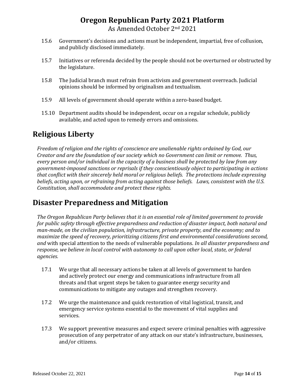- 15.6 Government's decisions and actions must be independent, impartial, free of collusion, and publicly disclosed immediately.
- 15.7 Initiatives or referenda decided by the people should not be overturned or obstructed by the legislature.
- 15.8 The Judicial branch must refrain from activism and government overreach. Judicial opinions should be informed by originalism and textualism.
- 15.9 All levels of government should operate within a zero-based budget.
- 15.10 Department audits should be independent, occur on a regular schedule, publicly available, and acted upon to remedy errors and omissions.

# **Religious Liberty**

*Freedom of religion and the rights of conscience are unalienable rights ordained by God, our Creator and are the foundation of our society which no Government can limit or remove. Thus, every person and/or individual in the capacity of a business shall be protected by law from any government-imposed sanctions or reprisals if they conscientiously object to participating in actions that conflict with their sincerely held moral or religious beliefs. The protections include expressing beliefs, acting upon, or refraining from acting against those beliefs. Laws, consistent with the U.S. Constitution, shall accommodate and protect these rights.*

# **Disaster Preparedness and Mitigation**

*The Oregon Republican Party believes that it is an essential role of limited government to provide for public safety through effective preparedness and reduction of disaster impact, both natural and man-made, on the civilian population, infrastructure, private property, and the economy; and to maximize the speed of recovery, prioritizing citizens first and environmental considerations second, and* with special attention to the needs of vulnerable populations*. In all disaster preparedness and response, we believe in local control with autonomy to call upon other local, state, or federal agencies.*

- 17.1 We urge that all necessary actions be taken at all levels of government to harden and actively protect our energy and communications infrastructure from all threats and that urgent steps be taken to guarantee energy security and communications to mitigate any outages and strengthen recovery.
- 17.2 We urge the maintenance and quick restoration of vital logistical, transit, and emergency service systems essential to the movement of vital supplies and services.
- 17.3 We support preventive measures and expect severe criminal penalties with aggressive prosecution of any perpetrator of any attack on our state's infrastructure, businesses, and/or citizens.